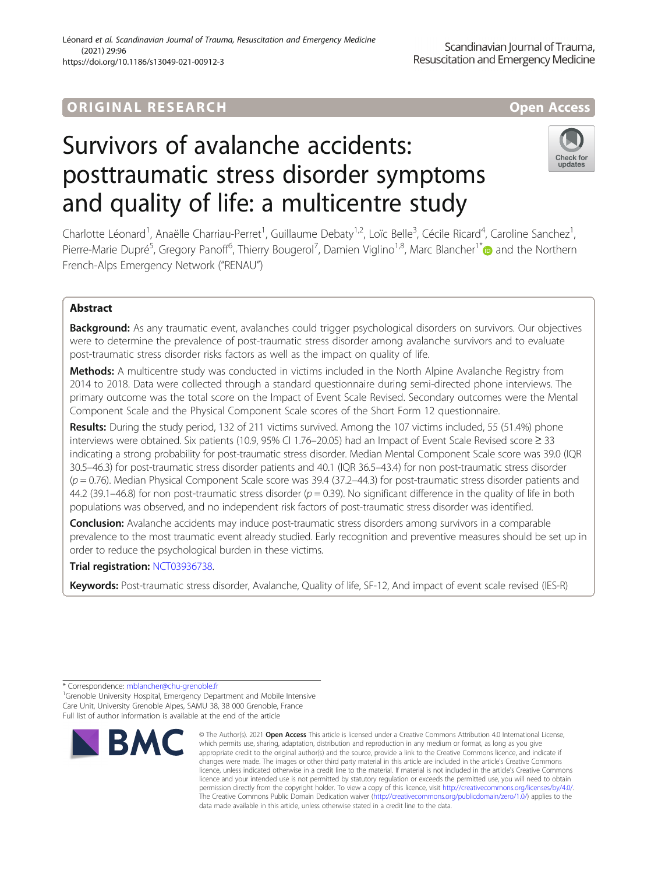## ORIGINA L R E S EA RCH Open Access

# Survivors of avalanche accidents: posttraumatic stress disorder symptoms and quality of life: a multicentre study



Charlotte Léonard<sup>1</sup>, Anaëlle Charriau-Perret<sup>1</sup>, Guillaume Debaty<sup>1,2</sup>, Loïc Belle<sup>3</sup>, Cécile Ricard<sup>4</sup>, Caroline Sanchez<sup>1</sup> , Pierre-Marie Dupré<sup>5</sup>, Gregory Panoff<sup>6</sup>, Thierry Bougerol<sup>7</sup>, Damien Viglino<sup>1,8</sup>, Marc Blancher<sup>1[\\*](http://orcid.org/0000-0001-6874-2375)</sup> and the Northern French-Alps Emergency Network ("RENAU")

### Abstract

Background: As any traumatic event, avalanches could trigger psychological disorders on survivors. Our objectives were to determine the prevalence of post-traumatic stress disorder among avalanche survivors and to evaluate post-traumatic stress disorder risks factors as well as the impact on quality of life.

Methods: A multicentre study was conducted in victims included in the North Alpine Avalanche Registry from 2014 to 2018. Data were collected through a standard questionnaire during semi-directed phone interviews. The primary outcome was the total score on the Impact of Event Scale Revised. Secondary outcomes were the Mental Component Scale and the Physical Component Scale scores of the Short Form 12 questionnaire.

Results: During the study period, 132 of 211 victims survived. Among the 107 victims included, 55 (51.4%) phone interviews were obtained. Six patients (10.9, 95% CI 1.76–20.05) had an Impact of Event Scale Revised score ≥ 33 indicating a strong probability for post-traumatic stress disorder. Median Mental Component Scale score was 39.0 (IQR 30.5–46.3) for post-traumatic stress disorder patients and 40.1 (IQR 36.5–43.4) for non post-traumatic stress disorder  $(p = 0.76)$ . Median Physical Component Scale score was 39.4 (37.2–44.3) for post-traumatic stress disorder patients and 44.2 (39.1–46.8) for non post-traumatic stress disorder ( $p = 0.39$ ). No significant difference in the quality of life in both populations was observed, and no independent risk factors of post-traumatic stress disorder was identified.

**Conclusion:** Avalanche accidents may induce post-traumatic stress disorders among survivors in a comparable prevalence to the most traumatic event already studied. Early recognition and preventive measures should be set up in order to reduce the psychological burden in these victims.

Trial registration: [NCT03936738](https://clinicaltrials.gov/ct2/show/NCT03936738).

Keywords: Post-traumatic stress disorder, Avalanche, Quality of life, SF-12, And impact of event scale revised (IES-R)

<sup>&</sup>lt;sup>1</sup>Grenoble University Hospital, Emergency Department and Mobile Intensive Care Unit, University Grenoble Alpes, SAMU 38, 38 000 Grenoble, France Full list of author information is available at the end of the article



<sup>©</sup> The Author(s), 2021 **Open Access** This article is licensed under a Creative Commons Attribution 4.0 International License, which permits use, sharing, adaptation, distribution and reproduction in any medium or format, as long as you give appropriate credit to the original author(s) and the source, provide a link to the Creative Commons licence, and indicate if changes were made. The images or other third party material in this article are included in the article's Creative Commons licence, unless indicated otherwise in a credit line to the material. If material is not included in the article's Creative Commons licence and your intended use is not permitted by statutory regulation or exceeds the permitted use, you will need to obtain permission directly from the copyright holder. To view a copy of this licence, visit [http://creativecommons.org/licenses/by/4.0/.](http://creativecommons.org/licenses/by/4.0/) The Creative Commons Public Domain Dedication waiver [\(http://creativecommons.org/publicdomain/zero/1.0/](http://creativecommons.org/publicdomain/zero/1.0/)) applies to the data made available in this article, unless otherwise stated in a credit line to the data.

<sup>\*</sup> Correspondence: [mblancher@chu-grenoble.fr](mailto:mblancher@chu-grenoble.fr) <sup>1</sup>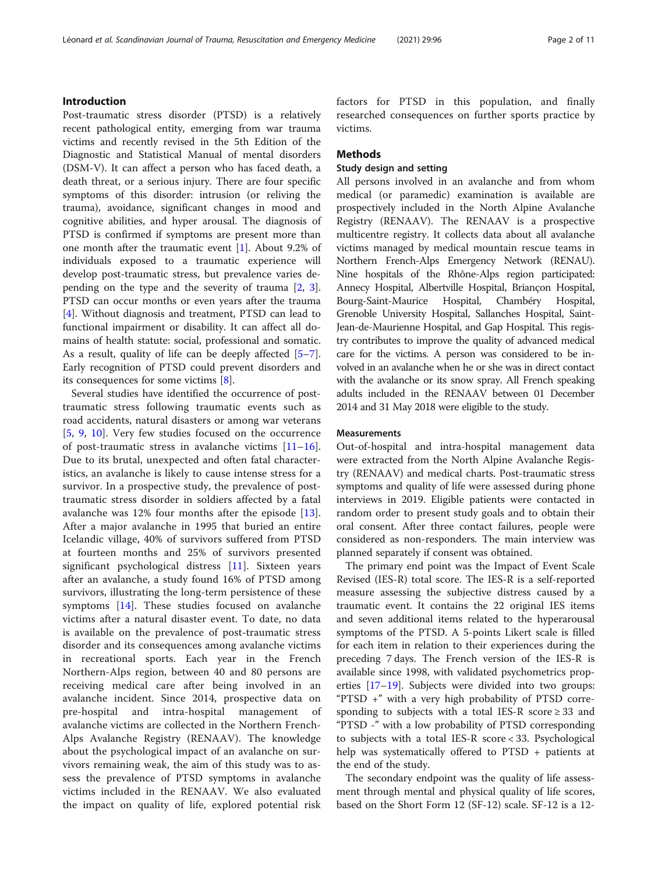Post-traumatic stress disorder (PTSD) is a relatively recent pathological entity, emerging from war trauma victims and recently revised in the 5th Edition of the Diagnostic and Statistical Manual of mental disorders (DSM-V). It can affect a person who has faced death, a death threat, or a serious injury. There are four specific symptoms of this disorder: intrusion (or reliving the trauma), avoidance, significant changes in mood and cognitive abilities, and hyper arousal. The diagnosis of PTSD is confirmed if symptoms are present more than one month after the traumatic event [[1\]](#page-9-0). About 9.2% of individuals exposed to a traumatic experience will develop post-traumatic stress, but prevalence varies depending on the type and the severity of trauma [[2,](#page-9-0) [3](#page-9-0)]. PTSD can occur months or even years after the trauma [[4\]](#page-9-0). Without diagnosis and treatment, PTSD can lead to functional impairment or disability. It can affect all domains of health statute: social, professional and somatic. As a result, quality of life can be deeply affected [\[5](#page-9-0)–[7](#page-9-0)]. Early recognition of PTSD could prevent disorders and its consequences for some victims [\[8](#page-9-0)].

Several studies have identified the occurrence of posttraumatic stress following traumatic events such as road accidents, natural disasters or among war veterans [[5,](#page-9-0) [9](#page-9-0), [10](#page-9-0)]. Very few studies focused on the occurrence of post-traumatic stress in avalanche victims  $[11-16]$  $[11-16]$  $[11-16]$  $[11-16]$ . Due to its brutal, unexpected and often fatal characteristics, an avalanche is likely to cause intense stress for a survivor. In a prospective study, the prevalence of posttraumatic stress disorder in soldiers affected by a fatal avalanche was 12% four months after the episode [\[13](#page-9-0)]. After a major avalanche in 1995 that buried an entire Icelandic village, 40% of survivors suffered from PTSD at fourteen months and 25% of survivors presented significant psychological distress [[11](#page-9-0)]. Sixteen years after an avalanche, a study found 16% of PTSD among survivors, illustrating the long-term persistence of these symptoms [\[14](#page-9-0)]. These studies focused on avalanche victims after a natural disaster event. To date, no data is available on the prevalence of post-traumatic stress disorder and its consequences among avalanche victims in recreational sports. Each year in the French Northern-Alps region, between 40 and 80 persons are receiving medical care after being involved in an avalanche incident. Since 2014, prospective data on pre-hospital and intra-hospital management of avalanche victims are collected in the Northern French-Alps Avalanche Registry (RENAAV). The knowledge about the psychological impact of an avalanche on survivors remaining weak, the aim of this study was to assess the prevalence of PTSD symptoms in avalanche victims included in the RENAAV. We also evaluated the impact on quality of life, explored potential risk factors for PTSD in this population, and finally researched consequences on further sports practice by victims.

#### **Methods**

#### Study design and setting

All persons involved in an avalanche and from whom medical (or paramedic) examination is available are prospectively included in the North Alpine Avalanche Registry (RENAAV). The RENAAV is a prospective multicentre registry. It collects data about all avalanche victims managed by medical mountain rescue teams in Northern French-Alps Emergency Network (RENAU). Nine hospitals of the Rhône-Alps region participated: Annecy Hospital, Albertville Hospital, Briançon Hospital, Bourg-Saint-Maurice Hospital, Chambéry Hospital, Grenoble University Hospital, Sallanches Hospital, Saint-Jean-de-Maurienne Hospital, and Gap Hospital. This registry contributes to improve the quality of advanced medical care for the victims. A person was considered to be involved in an avalanche when he or she was in direct contact with the avalanche or its snow spray. All French speaking adults included in the RENAAV between 01 December 2014 and 31 May 2018 were eligible to the study.

#### **Measurements**

Out-of-hospital and intra-hospital management data were extracted from the North Alpine Avalanche Registry (RENAAV) and medical charts. Post-traumatic stress symptoms and quality of life were assessed during phone interviews in 2019. Eligible patients were contacted in random order to present study goals and to obtain their oral consent. After three contact failures, people were considered as non-responders. The main interview was planned separately if consent was obtained.

The primary end point was the Impact of Event Scale Revised (IES-R) total score. The IES-R is a self-reported measure assessing the subjective distress caused by a traumatic event. It contains the 22 original IES items and seven additional items related to the hyperarousal symptoms of the PTSD. A 5-points Likert scale is filled for each item in relation to their experiences during the preceding 7 days. The French version of the IES-R is available since 1998, with validated psychometrics properties [[17](#page-9-0)–[19](#page-9-0)]. Subjects were divided into two groups: "PTSD +" with a very high probability of PTSD corresponding to subjects with a total IES-R score  $\geq$  33 and "PTSD -" with a low probability of PTSD corresponding to subjects with a total IES-R score < 33. Psychological help was systematically offered to PTSD + patients at the end of the study.

The secondary endpoint was the quality of life assessment through mental and physical quality of life scores, based on the Short Form 12 (SF-12) scale. SF-12 is a 12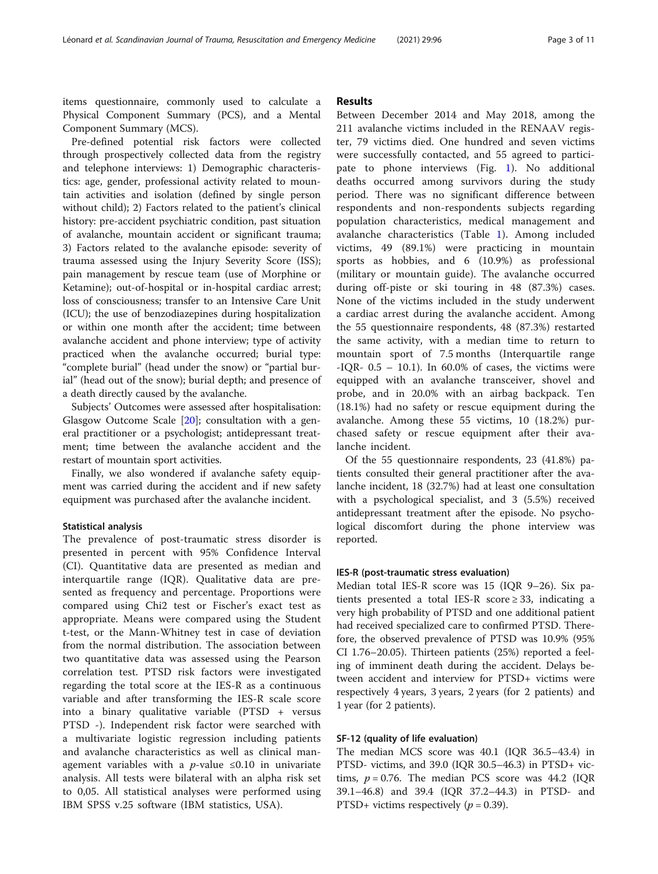items questionnaire, commonly used to calculate a Physical Component Summary (PCS), and a Mental Component Summary (MCS).

Pre-defined potential risk factors were collected through prospectively collected data from the registry and telephone interviews: 1) Demographic characteristics: age, gender, professional activity related to mountain activities and isolation (defined by single person without child); 2) Factors related to the patient's clinical history: pre-accident psychiatric condition, past situation of avalanche, mountain accident or significant trauma; 3) Factors related to the avalanche episode: severity of trauma assessed using the Injury Severity Score (ISS); pain management by rescue team (use of Morphine or Ketamine); out-of-hospital or in-hospital cardiac arrest; loss of consciousness; transfer to an Intensive Care Unit (ICU); the use of benzodiazepines during hospitalization or within one month after the accident; time between avalanche accident and phone interview; type of activity practiced when the avalanche occurred; burial type: "complete burial" (head under the snow) or "partial burial" (head out of the snow); burial depth; and presence of a death directly caused by the avalanche.

Subjects' Outcomes were assessed after hospitalisation: Glasgow Outcome Scale [[20\]](#page-9-0); consultation with a general practitioner or a psychologist; antidepressant treatment; time between the avalanche accident and the restart of mountain sport activities.

Finally, we also wondered if avalanche safety equipment was carried during the accident and if new safety equipment was purchased after the avalanche incident.

#### Statistical analysis

The prevalence of post-traumatic stress disorder is presented in percent with 95% Confidence Interval (CI). Quantitative data are presented as median and interquartile range (IQR). Qualitative data are presented as frequency and percentage. Proportions were compared using Chi2 test or Fischer's exact test as appropriate. Means were compared using the Student t-test, or the Mann-Whitney test in case of deviation from the normal distribution. The association between two quantitative data was assessed using the Pearson correlation test. PTSD risk factors were investigated regarding the total score at the IES-R as a continuous variable and after transforming the IES-R scale score into a binary qualitative variable (PTSD + versus PTSD -). Independent risk factor were searched with a multivariate logistic regression including patients and avalanche characteristics as well as clinical management variables with a *p*-value  $\leq 0.10$  in univariate analysis. All tests were bilateral with an alpha risk set to 0,05. All statistical analyses were performed using IBM SPSS v.25 software (IBM statistics, USA).

#### Results

Between December 2014 and May 2018, among the 211 avalanche victims included in the RENAAV register, 79 victims died. One hundred and seven victims were successfully contacted, and 55 agreed to participate to phone interviews (Fig. [1\)](#page-3-0). No additional deaths occurred among survivors during the study period. There was no significant difference between respondents and non-respondents subjects regarding population characteristics, medical management and avalanche characteristics (Table [1\)](#page-3-0). Among included victims, 49 (89.1%) were practicing in mountain sports as hobbies, and 6 (10.9%) as professional (military or mountain guide). The avalanche occurred during off-piste or ski touring in 48 (87.3%) cases. None of the victims included in the study underwent a cardiac arrest during the avalanche accident. Among the 55 questionnaire respondents, 48 (87.3%) restarted the same activity, with a median time to return to mountain sport of 7.5 months (Interquartile range -IQR-  $0.5 - 10.1$ ). In 60.0% of cases, the victims were equipped with an avalanche transceiver, shovel and probe, and in 20.0% with an airbag backpack. Ten (18.1%) had no safety or rescue equipment during the avalanche. Among these 55 victims, 10 (18.2%) purchased safety or rescue equipment after their avalanche incident.

Of the 55 questionnaire respondents, 23 (41.8%) patients consulted their general practitioner after the avalanche incident, 18 (32.7%) had at least one consultation with a psychological specialist, and 3 (5.5%) received antidepressant treatment after the episode. No psychological discomfort during the phone interview was reported.

#### IES-R (post-traumatic stress evaluation)

Median total IES-R score was 15 (IQR 9–26). Six patients presented a total IES-R score  $\geq$  33, indicating a very high probability of PTSD and one additional patient had received specialized care to confirmed PTSD. Therefore, the observed prevalence of PTSD was 10.9% (95% CI 1.76–20.05). Thirteen patients (25%) reported a feeling of imminent death during the accident. Delays between accident and interview for PTSD+ victims were respectively 4 years, 3 years, 2 years (for 2 patients) and 1 year (for 2 patients).

#### SF-12 (quality of life evaluation)

The median MCS score was 40.1 (IQR 36.5–43.4) in PTSD- victims, and 39.0 (IQR 30.5–46.3) in PTSD+ victims,  $p = 0.76$ . The median PCS score was 44.2 (IQR 39.1–46.8) and 39.4 (IQR 37.2–44.3) in PTSD- and PTSD+ victims respectively ( $p = 0.39$ ).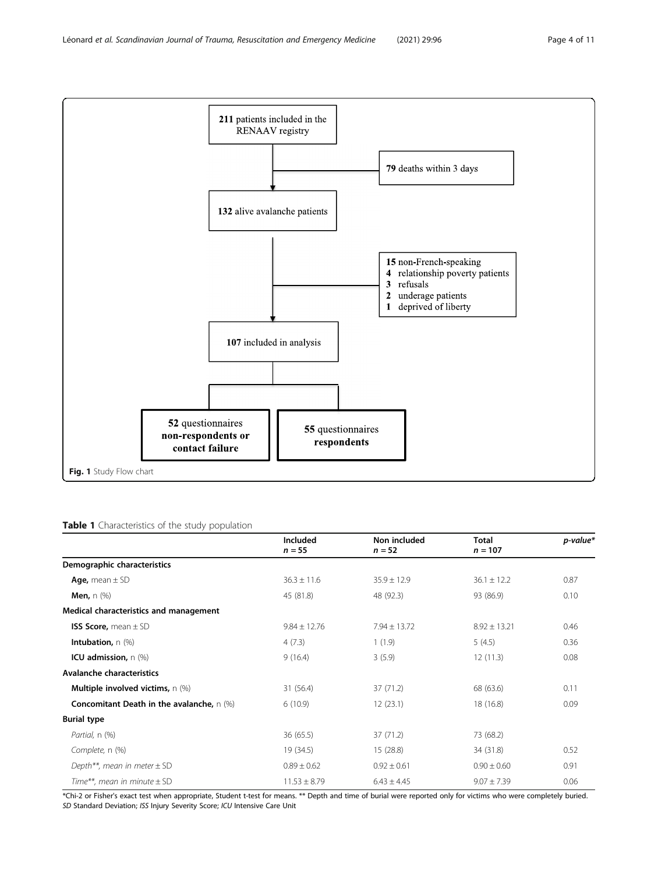<span id="page-3-0"></span>

#### Table 1 Characteristics of the study population

|                                                      | Included<br>$n = 55$ | Non included<br>$n = 52$ | <b>Total</b><br>$n = 107$ | p-value* |
|------------------------------------------------------|----------------------|--------------------------|---------------------------|----------|
| Demographic characteristics                          |                      |                          |                           |          |
| Age, mean $\pm$ SD                                   | $36.3 \pm 11.6$      | $35.9 \pm 12.9$          | $36.1 \pm 12.2$           | 0.87     |
| <b>Men,</b> $n$ $(\%)$                               | 45 (81.8)            | 48 (92.3)                | 93 (86.9)                 | 0.10     |
| Medical characteristics and management               |                      |                          |                           |          |
| <b>ISS Score, mean <math>\pm</math> SD</b>           | $9.84 \pm 12.76$     | $7.94 \pm 13.72$         | $8.92 \pm 13.21$          | 0.46     |
| Intubation, n (%)                                    | 4(7.3)               | 1(1.9)                   | 5(4.5)                    | 0.36     |
| ICU admission, $n$ (%)                               | 9(16.4)              | 3(5.9)                   | 12(11.3)                  | 0.08     |
| Avalanche characteristics                            |                      |                          |                           |          |
| <b>Multiple involved victims, <math>n</math> (%)</b> | 31(56.4)             | 37 (71.2)                | 68 (63.6)                 | 0.11     |
| <b>Concomitant Death in the avalanche, n (%)</b>     | 6(10.9)              | 12(23.1)                 | 18 (16.8)                 | 0.09     |
| <b>Burial type</b>                                   |                      |                          |                           |          |
| Partial, n (%)                                       | 36 (65.5)            | 37 (71.2)                | 73 (68.2)                 |          |
| Complete, n (%)                                      | 19 (34.5)            | 15(28.8)                 | 34 (31.8)                 | 0.52     |
| Depth**, mean in meter $\pm$ SD                      | $0.89 \pm 0.62$      | $0.92 \pm 0.61$          | $0.90 \pm 0.60$           | 0.91     |
| Time**, mean in minute $\pm$ SD                      | $11.53 \pm 8.79$     | $6.43 \pm 4.45$          | $9.07 \pm 7.39$           | 0.06     |

\*Chi-2 or Fisher's exact test when appropriate, Student t-test for means. \*\* Depth and time of burial were reported only for victims who were completely buried. SD Standard Deviation; ISS Injury Severity Score; ICU Intensive Care Unit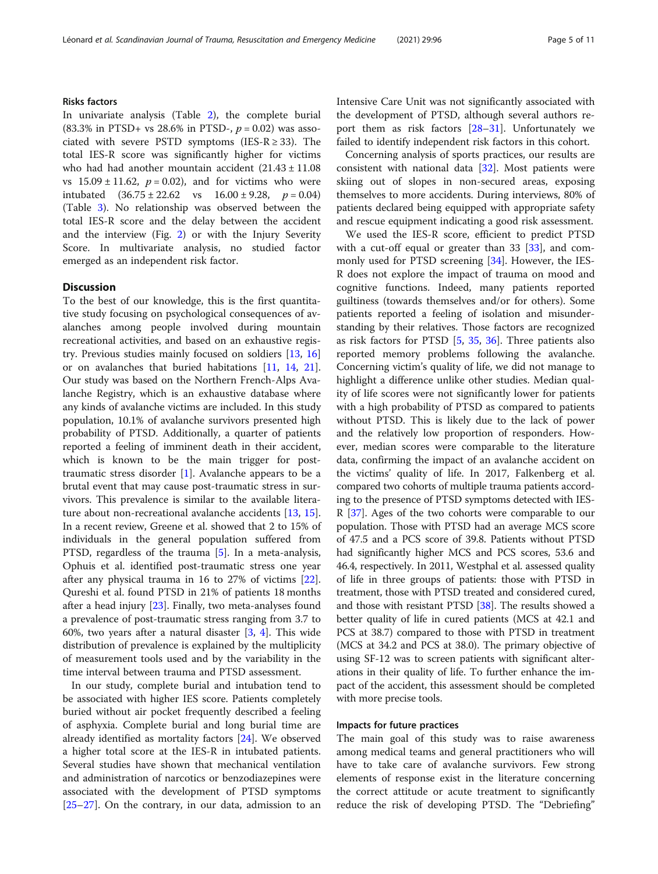#### Risks factors

In univariate analysis (Table [2\)](#page-5-0), the complete burial (83.3% in PTSD+ vs 28.6% in PTSD-,  $p = 0.02$ ) was associated with severe PSTD symptoms (IES- $R \geq 33$ ). The total IES-R score was significantly higher for victims who had had another mountain accident  $(21.43 \pm 11.08$ vs  $15.09 \pm 11.62$ ,  $p = 0.02$ ), and for victims who were intubated  $(36.75 \pm 22.62 \text{ vs } 16.00 \pm 9.28, p = 0.04)$ (Table [3](#page-6-0)). No relationship was observed between the total IES-R score and the delay between the accident and the interview (Fig. [2](#page-7-0)) or with the Injury Severity Score. In multivariate analysis, no studied factor emerged as an independent risk factor.

#### Discussion

To the best of our knowledge, this is the first quantitative study focusing on psychological consequences of avalanches among people involved during mountain recreational activities, and based on an exhaustive registry. Previous studies mainly focused on soldiers [[13,](#page-9-0) [16](#page-9-0)] or on avalanches that buried habitations [\[11,](#page-9-0) [14](#page-9-0), [21](#page-9-0)]. Our study was based on the Northern French-Alps Avalanche Registry, which is an exhaustive database where any kinds of avalanche victims are included. In this study population, 10.1% of avalanche survivors presented high probability of PTSD. Additionally, a quarter of patients reported a feeling of imminent death in their accident, which is known to be the main trigger for posttraumatic stress disorder [\[1](#page-9-0)]. Avalanche appears to be a brutal event that may cause post-traumatic stress in survivors. This prevalence is similar to the available literature about non-recreational avalanche accidents [\[13](#page-9-0), [15](#page-9-0)]. In a recent review, Greene et al. showed that 2 to 15% of individuals in the general population suffered from PTSD, regardless of the trauma [[5\]](#page-9-0). In a meta-analysis, Ophuis et al. identified post-traumatic stress one year after any physical trauma in 16 to 27% of victims [\[22](#page-9-0)]. Qureshi et al. found PTSD in 21% of patients 18 months after a head injury [\[23\]](#page-9-0). Finally, two meta-analyses found a prevalence of post-traumatic stress ranging from 3.7 to 60%, two years after a natural disaster [\[3](#page-9-0), [4](#page-9-0)]. This wide distribution of prevalence is explained by the multiplicity of measurement tools used and by the variability in the time interval between trauma and PTSD assessment.

In our study, complete burial and intubation tend to be associated with higher IES score. Patients completely buried without air pocket frequently described a feeling of asphyxia. Complete burial and long burial time are already identified as mortality factors [[24\]](#page-9-0). We observed a higher total score at the IES-R in intubated patients. Several studies have shown that mechanical ventilation and administration of narcotics or benzodiazepines were associated with the development of PTSD symptoms [[25](#page-9-0)–[27](#page-9-0)]. On the contrary, in our data, admission to an Intensive Care Unit was not significantly associated with the development of PTSD, although several authors report them as risk factors [\[28](#page-9-0)–[31\]](#page-9-0). Unfortunately we failed to identify independent risk factors in this cohort.

Concerning analysis of sports practices, our results are consistent with national data [\[32](#page-9-0)]. Most patients were skiing out of slopes in non-secured areas, exposing themselves to more accidents. During interviews, 80% of patients declared being equipped with appropriate safety and rescue equipment indicating a good risk assessment.

We used the IES-R score, efficient to predict PTSD with a cut-off equal or greater than [33](#page-9-0) [33], and com-monly used for PTSD screening [\[34\]](#page-9-0). However, the IES-R does not explore the impact of trauma on mood and cognitive functions. Indeed, many patients reported guiltiness (towards themselves and/or for others). Some patients reported a feeling of isolation and misunderstanding by their relatives. Those factors are recognized as risk factors for PTSD [\[5](#page-9-0), [35,](#page-9-0) [36\]](#page-9-0). Three patients also reported memory problems following the avalanche. Concerning victim's quality of life, we did not manage to highlight a difference unlike other studies. Median quality of life scores were not significantly lower for patients with a high probability of PTSD as compared to patients without PTSD. This is likely due to the lack of power and the relatively low proportion of responders. However, median scores were comparable to the literature data, confirming the impact of an avalanche accident on the victims' quality of life. In 2017, Falkenberg et al. compared two cohorts of multiple trauma patients according to the presence of PTSD symptoms detected with IES-R [[37](#page-9-0)]. Ages of the two cohorts were comparable to our population. Those with PTSD had an average MCS score of 47.5 and a PCS score of 39.8. Patients without PTSD had significantly higher MCS and PCS scores, 53.6 and 46.4, respectively. In 2011, Westphal et al. assessed quality of life in three groups of patients: those with PTSD in treatment, those with PTSD treated and considered cured, and those with resistant PTSD [[38](#page-9-0)]. The results showed a better quality of life in cured patients (MCS at 42.1 and PCS at 38.7) compared to those with PTSD in treatment (MCS at 34.2 and PCS at 38.0). The primary objective of using SF-12 was to screen patients with significant alterations in their quality of life. To further enhance the impact of the accident, this assessment should be completed with more precise tools.

#### Impacts for future practices

The main goal of this study was to raise awareness among medical teams and general practitioners who will have to take care of avalanche survivors. Few strong elements of response exist in the literature concerning the correct attitude or acute treatment to significantly reduce the risk of developing PTSD. The "Debriefing"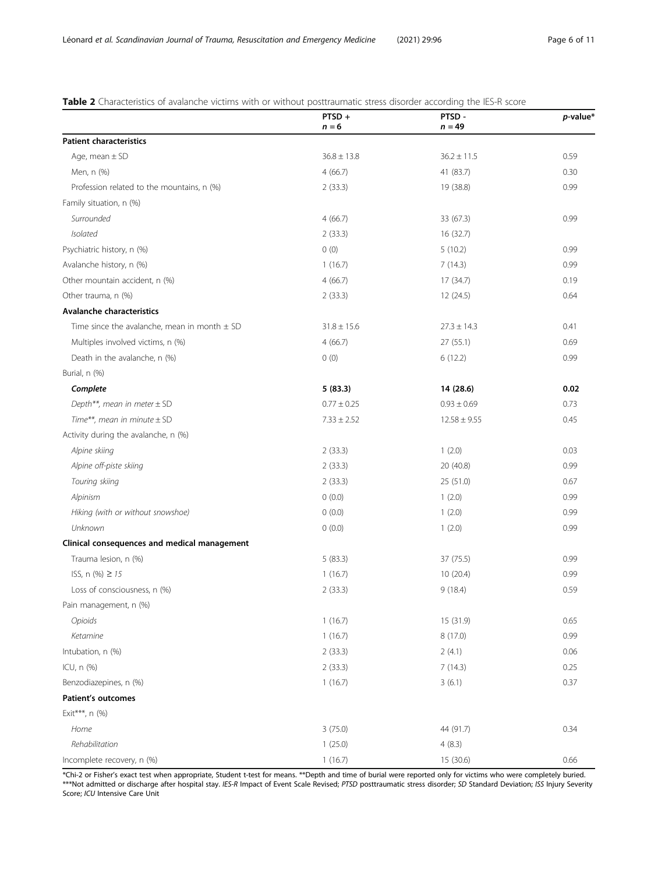<span id="page-5-0"></span>

| Table 2 Characteristics of avalanche victims with or without posttraumatic stress disorder according the IES-R score |  |  |
|----------------------------------------------------------------------------------------------------------------------|--|--|
|----------------------------------------------------------------------------------------------------------------------|--|--|

|                                                                    | PTSD+<br>$n = 6$ | PTSD -<br>$n = 49$ | $p$ -value* |
|--------------------------------------------------------------------|------------------|--------------------|-------------|
| <b>Patient characteristics</b>                                     |                  |                    |             |
| Age, mean $\pm$ SD                                                 | $36.8 \pm 13.8$  | $36.2 \pm 11.5$    | 0.59        |
| Men, n (%)                                                         | 4(66.7)          | 41 (83.7)          | 0.30        |
| Profession related to the mountains, n (%)                         | 2(33.3)          | 19 (38.8)          | 0.99        |
| Family situation, n (%)                                            |                  |                    |             |
| Surrounded                                                         | 4(66.7)          | 33 (67.3)          | 0.99        |
| Isolated                                                           | 2(33.3)          | 16 (32.7)          |             |
| Psychiatric history, n (%)                                         | 0(0)             | 5(10.2)            | 0.99        |
| Avalanche history, n (%)                                           | 1(16.7)          | 7(14.3)            | 0.99        |
| Other mountain accident, n (%)                                     | 4(66.7)          | 17(34.7)           | 0.19        |
| Other trauma, n (%)                                                | 2(33.3)          | 12 (24.5)          | 0.64        |
| Avalanche characteristics                                          |                  |                    |             |
| Time since the avalanche, mean in month $\pm$ SD                   | $31.8 \pm 15.6$  | $27.3 \pm 14.3$    | 0.41        |
| Multiples involved victims, n (%)                                  | 4(66.7)          | 27(55.1)           | 0.69        |
| Death in the avalanche, n (%)                                      | 0(0)             | 6(12.2)            | 0.99        |
| Burial, n (%)                                                      |                  |                    |             |
| Complete                                                           | 5(83.3)          | 14 (28.6)          | 0.02        |
|                                                                    | $0.77 \pm 0.25$  | $0.93 \pm 0.69$    | 0.73        |
| Depth**, mean in meter $\pm$ SD<br>Time**, mean in minute $\pm$ SD |                  |                    |             |
|                                                                    | $7.33 \pm 2.52$  | $12.58 \pm 9.55$   | 0.45        |
| Activity during the avalanche, n (%)                               |                  |                    |             |
| Alpine skiing                                                      | 2(33.3)          | 1(2.0)             | 0.03        |
| Alpine off-piste skiing                                            | 2(33.3)          | 20 (40.8)          | 0.99        |
| Touring skiing                                                     | 2(33.3)          | 25(51.0)           | 0.67        |
| Alpinism                                                           | 0(0.0)           | 1(2.0)             | 0.99        |
| Hiking (with or without snowshoe)                                  | 0(0.0)           | 1(2.0)             | 0.99        |
| Unknown                                                            | 0(0.0)           | 1(2.0)             | 0.99        |
| Clinical consequences and medical management                       |                  |                    |             |
| Trauma lesion, n (%)                                               | 5(83.3)          | 37 (75.5)          | 0.99        |
| ISS, $n$ (%) $\geq 15$                                             | 1(16.7)          | 10 (20.4)          | 0.99        |
| Loss of consciousness, n (%)                                       | 2(33.3)          | 9(18.4)            | 0.59        |
| Pain management, n (%)                                             |                  |                    |             |
| Opioids                                                            | 1(16.7)          | 15 (31.9)          | 0.65        |
| Ketamine                                                           | 1(16.7)          | 8 (17.0)           | 0.99        |
| Intubation, n (%)                                                  | 2(33.3)          | 2(4.1)             | 0.06        |
| ICU, n (%)                                                         | 2(33.3)          | 7(14.3)            | 0.25        |
| Benzodiazepines, n (%)                                             | 1(16.7)          | 3(6.1)             | 0.37        |
| Patient's outcomes                                                 |                  |                    |             |
| Exit***, n (%)                                                     |                  |                    |             |
| Home                                                               | 3(75.0)          | 44 (91.7)          | 0.34        |
| Rehabilitation                                                     | 1(25.0)          | 4(8.3)             |             |
| Incomplete recovery, n (%)                                         | 1(16.7)          | 15 (30.6)          | 0.66        |

\*Chi-2 or Fisher's exact test when appropriate, Student t-test for means. \*\*Depth and time of burial were reported only for victims who were completely buried. \*\*\*Not admitted or discharge after hospital stay. IES-R Impact of Event Scale Revised; PTSD posttraumatic stress disorder; SD Standard Deviation; ISS Injury Severity Score; ICU Intensive Care Unit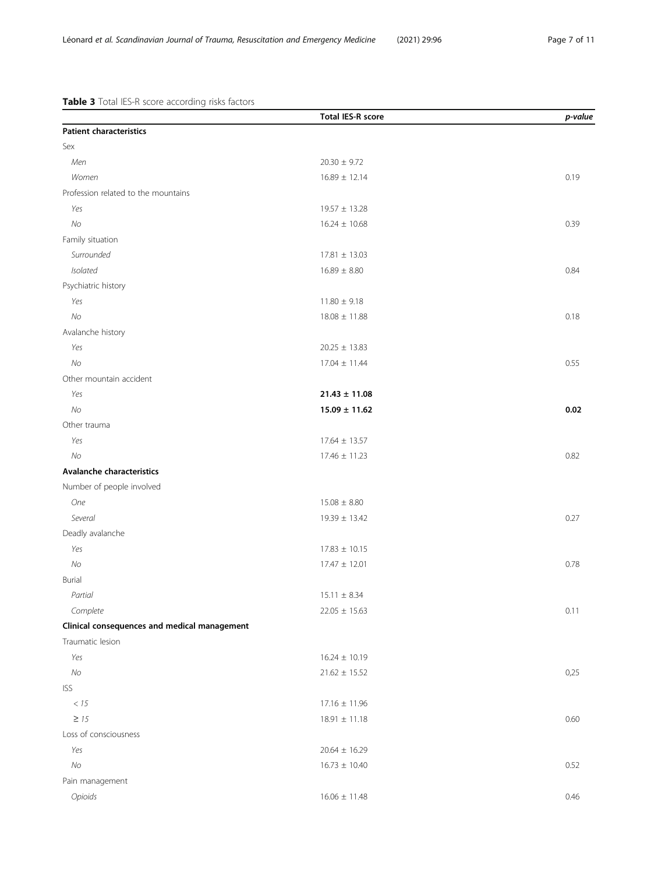<span id="page-6-0"></span>Table 3 Total IES-R score according risks factors

|                                              | <b>Total IES-R score</b> | p-value |
|----------------------------------------------|--------------------------|---------|
| <b>Patient characteristics</b>               |                          |         |
| Sex                                          |                          |         |
| Men                                          | $20.30 \pm 9.72$         |         |
| Women                                        | $16.89 \pm 12.14$        | 0.19    |
| Profession related to the mountains          |                          |         |
| Yes                                          | $19.57 \pm 13.28$        |         |
| No                                           | $16.24 \pm 10.68$        | 0.39    |
| Family situation                             |                          |         |
| Surrounded                                   | $17.81 \pm 13.03$        |         |
| Isolated                                     | $16.89 \pm 8.80$         | 0.84    |
| Psychiatric history                          |                          |         |
| Yes                                          | $11.80\pm9.18$           |         |
| No                                           | $18.08 \pm 11.88$        | 0.18    |
| Avalanche history                            |                          |         |
| Yes                                          | $20.25 \pm 13.83$        |         |
| No                                           | $17.04 \pm 11.44$        | 0.55    |
| Other mountain accident                      |                          |         |
| Yes                                          | $21.43 \pm 11.08$        |         |
| No                                           | $15.09 \pm 11.62$        | 0.02    |
| Other trauma                                 |                          |         |
| Yes                                          | $17.64 \pm 13.57$        |         |
| No                                           | $17.46 \pm 11.23$        | 0.82    |
| Avalanche characteristics                    |                          |         |
| Number of people involved                    |                          |         |
| <b>One</b>                                   | $15.08 \pm 8.80$         |         |
| Several                                      | $19.39 \pm 13.42$        | 0.27    |
| Deadly avalanche                             |                          |         |
| Yes                                          | $17.83 \pm 10.15$        |         |
| N <sub>O</sub>                               | $17.47 \pm 12.01$        | 0.78    |
| <b>Burial</b>                                |                          |         |
| Partial                                      | $15.11 \pm 8.34$         |         |
| Complete                                     | $22.05 \pm 15.63$        | 0.11    |
| Clinical consequences and medical management |                          |         |
| Traumatic lesion                             |                          |         |
| Yes                                          | $16.24 \pm 10.19$        |         |
| $N\!o$                                       | $21.62 \pm 15.52$        | 0,25    |
| <b>ISS</b>                                   |                          |         |
| $<15\,$                                      | $17.16 \pm 11.96$        |         |
| $\geq$ 15                                    | $18.91 \pm 11.18$        | 0.60    |
| Loss of consciousness                        |                          |         |
| Yes                                          | $20.64 \pm 16.29$        |         |
| $N\!o$                                       | $16.73 \pm 10.40$        | 0.52    |
| Pain management                              |                          |         |
| Opioids                                      | $16.06 \pm 11.48$        | 0.46    |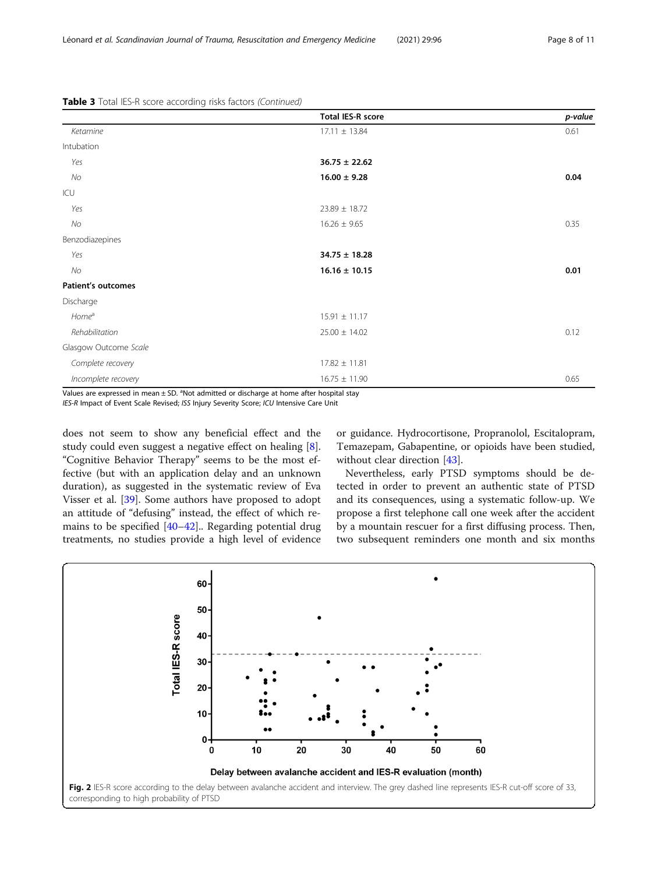<span id="page-7-0"></span>

|  |  |  | Table 3 Total IES-R score according risks factors (Continued) |
|--|--|--|---------------------------------------------------------------|
|  |  |  |                                                               |

|                                                                                                           | <b>Total IES-R score</b> | p-value |
|-----------------------------------------------------------------------------------------------------------|--------------------------|---------|
| Ketamine                                                                                                  | $17.11 \pm 13.84$        | 0.61    |
| Intubation                                                                                                |                          |         |
| Yes                                                                                                       | $36.75 \pm 22.62$        |         |
| No                                                                                                        | $16.00 \pm 9.28$         | 0.04    |
| ICU                                                                                                       |                          |         |
| Yes                                                                                                       | $23.89 \pm 18.72$        |         |
| No                                                                                                        | $16.26 \pm 9.65$         | 0.35    |
| Benzodiazepines                                                                                           |                          |         |
| Yes                                                                                                       | $34.75 \pm 18.28$        |         |
| No                                                                                                        | $16.16 \pm 10.15$        | 0.01    |
| <b>Patient's outcomes</b>                                                                                 |                          |         |
| Discharge                                                                                                 |                          |         |
| Home <sup>a</sup>                                                                                         | $15.91 \pm 11.17$        |         |
| Rehabilitation                                                                                            | $25.00 \pm 14.02$        | 0.12    |
| Glasgow Outcome Scale                                                                                     |                          |         |
| Complete recovery                                                                                         | $17.82 \pm 11.81$        |         |
| Incomplete recovery                                                                                       | $16.75 \pm 11.90$        | 0.65    |
| Values are expressed in mean $\pm$ SD. <sup>a</sup> Not admitted or discharge at home after hospital stay |                          |         |

IES-R Impact of Event Scale Revised; ISS Injury Severity Score; ICU Intensive Care Unit

does not seem to show any beneficial effect and the study could even suggest a negative effect on healing [\[8](#page-9-0)]. "Cognitive Behavior Therapy" seems to be the most effective (but with an application delay and an unknown duration), as suggested in the systematic review of Eva Visser et al. [\[39](#page-10-0)]. Some authors have proposed to adopt an attitude of "defusing" instead, the effect of which remains to be specified [\[40](#page-10-0)–[42\]](#page-10-0).. Regarding potential drug treatments, no studies provide a high level of evidence

or guidance. Hydrocortisone, Propranolol, Escitalopram, Temazepam, Gabapentine, or opioids have been studied, without clear direction [\[43\]](#page-10-0).

Nevertheless, early PTSD symptoms should be detected in order to prevent an authentic state of PTSD and its consequences, using a systematic follow-up. We propose a first telephone call one week after the accident by a mountain rescuer for a first diffusing process. Then, two subsequent reminders one month and six months

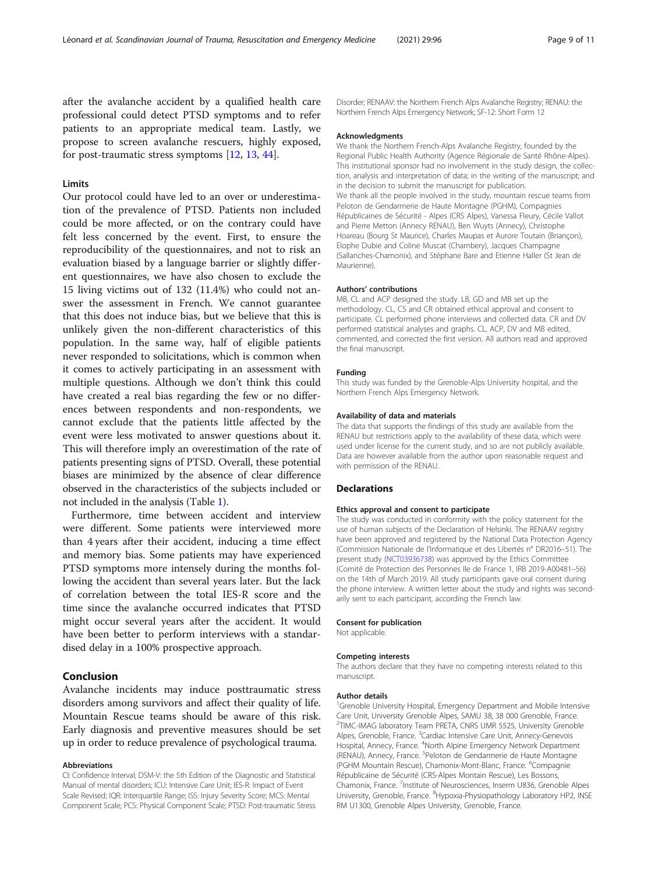after the avalanche accident by a qualified health care professional could detect PTSD symptoms and to refer patients to an appropriate medical team. Lastly, we propose to screen avalanche rescuers, highly exposed, for post-traumatic stress symptoms [[12,](#page-9-0) [13,](#page-9-0) [44](#page-10-0)].

#### Limits

Our protocol could have led to an over or underestimation of the prevalence of PTSD. Patients non included could be more affected, or on the contrary could have felt less concerned by the event. First, to ensure the reproducibility of the questionnaires, and not to risk an evaluation biased by a language barrier or slightly different questionnaires, we have also chosen to exclude the 15 living victims out of 132 (11.4%) who could not answer the assessment in French. We cannot guarantee that this does not induce bias, but we believe that this is unlikely given the non-different characteristics of this population. In the same way, half of eligible patients never responded to solicitations, which is common when it comes to actively participating in an assessment with multiple questions. Although we don't think this could have created a real bias regarding the few or no differences between respondents and non-respondents, we cannot exclude that the patients little affected by the event were less motivated to answer questions about it. This will therefore imply an overestimation of the rate of patients presenting signs of PTSD. Overall, these potential biases are minimized by the absence of clear difference observed in the characteristics of the subjects included or not included in the analysis (Table [1\)](#page-3-0).

Furthermore, time between accident and interview were different. Some patients were interviewed more than 4 years after their accident, inducing a time effect and memory bias. Some patients may have experienced PTSD symptoms more intensely during the months following the accident than several years later. But the lack of correlation between the total IES-R score and the time since the avalanche occurred indicates that PTSD might occur several years after the accident. It would have been better to perform interviews with a standardised delay in a 100% prospective approach.

#### Conclusion

Avalanche incidents may induce posttraumatic stress disorders among survivors and affect their quality of life. Mountain Rescue teams should be aware of this risk. Early diagnosis and preventive measures should be set up in order to reduce prevalence of psychological trauma.

#### Abbreviations

CI: Confidence Interval; DSM-V: the 5th Edition of the Diagnostic and Statistical Manual of mental disorders; ICU: Intensive Care Unit; IES-R: Impact of Event Scale Revised; IQR: Interquartile Range; ISS: Injury Severity Score; MCS: Mental Component Scale; PCS: Physical Component Scale; PTSD: Post-traumatic Stress Disorder; RENAAV: the Northern French Alps Avalanche Registry; RENAU: the Northern French Alps Emergency Network; SF-12: Short Form 12

#### Acknowledgments

We thank the Northern French-Alps Avalanche Registry, founded by the Regional Public Health Authority (Agence Régionale de Santé Rhône-Alpes). This institutional sponsor had no involvement in the study design, the collection, analysis and interpretation of data; in the writing of the manuscript; and in the decision to submit the manuscript for publication. We thank all the people involved in the study, mountain rescue teams from Peloton de Gendarmerie de Haute Montagne (PGHM), Compagnies Républicaines de Sécurité - Alpes (CRS Alpes), Vanessa Fleury, Cécile Vallot and Pierre Metton (Annecy RENAU), Ben Wuyts (Annecy), Christophe Hoareau (Bourg St Maurice), Charles Maupas et Aurore Toutain (Briançon), Elophe Dubie and Coline Muscat (Chambery), Jacques Champagne (Sallanches-Chamonix), and Stéphane Bare and Etienne Haller (St Jean de Maurienne).

#### Authors' contributions

MB, CL and ACP designed the study. LB, GD and MB set up the methodology. CL, CS and CR obtained ethical approval and consent to participate. CL performed phone interviews and collected data. CR and DV performed statistical analyses and graphs. CL, ACP, DV and MB edited, commented, and corrected the first version. All authors read and approved the final manuscript.

#### Funding

This study was funded by the Grenoble-Alps University hospital, and the Northern French Alps Emergency Network.

#### Availability of data and materials

The data that supports the findings of this study are available from the RENAU but restrictions apply to the availability of these data, which were used under license for the current study, and so are not publicly available. Data are however available from the author upon reasonable request and with permission of the RENAU.

#### Declarations

#### Ethics approval and consent to participate

The study was conducted in conformity with the policy statement for the use of human subjects of the Declaration of Helsinki. The RENAAV registry have been approved and registered by the National Data Protection Agency (Commission Nationale de l'Informatique et des Libertés n° DR2016–51). The present study ([NCT03936738](https://clinicaltrials.gov/ct2/show/NCT03936738)) was approved by the Ethics Committee (Comité de Protection des Personnes Ile de France 1, IRB 2019-A00481–56) on the 14th of March 2019. All study participants gave oral consent during the phone interview. A written letter about the study and rights was secondarily sent to each participant, according the French law.

#### Consent for publication

Not applicable.

#### Competing interests

The authors declare that they have no competing interests related to this manuscript.

#### Author details

<sup>1</sup>Grenoble University Hospital, Emergency Department and Mobile Intensive Care Unit, University Grenoble Alpes, SAMU 38, 38 000 Grenoble, France. <sup>2</sup>TIMC-IMAG laboratory Team PRETA, CNRS UMR 5525, University Grenoble Alpes, Grenoble, France. <sup>3</sup>Cardiac Intensive Care Unit, Annecy-Genevois Hospital, Annecy, France. <sup>4</sup>North Alpine Emergency Network Department (RENAU), Annecy, France. <sup>5</sup>Peloton de Gendarmerie de Haute Montagne (PGHM Mountain Rescue), Chamonix-Mont-Blanc, France. <sup>6</sup>Compagnie Républicaine de Sécurité (CRS-Alpes Montain Rescue), Les Bossons, Chamonix, France. <sup>7</sup>Institute of Neurosciences, Inserm U836, Grenoble Alpes University, Grenoble, France. <sup>8</sup> Hypoxia-Physiopathology Laboratory HP2, INSE RM U1300, Grenoble Alpes University, Grenoble, France.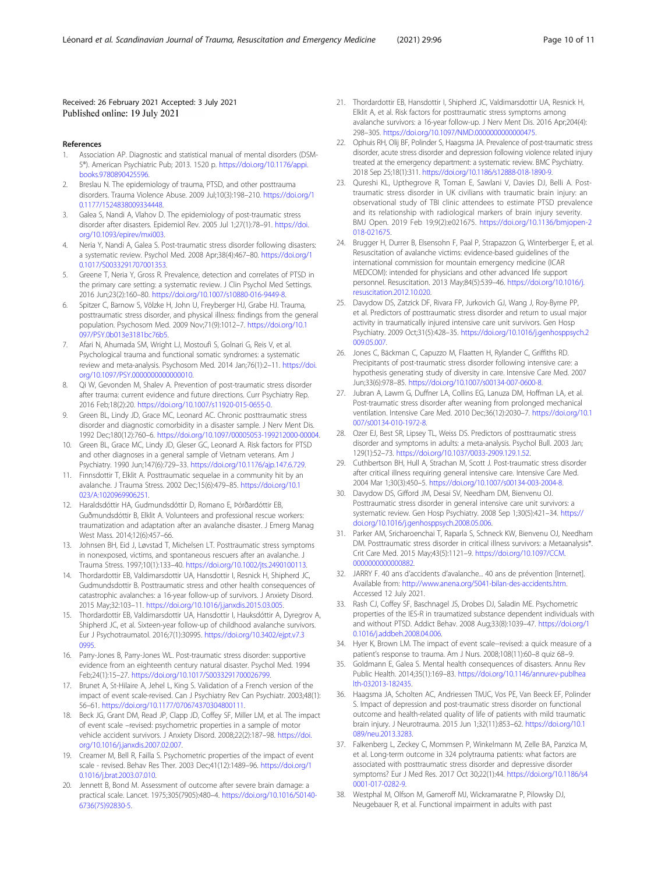#### <span id="page-9-0"></span>Received: 26 February 2021 Accepted: 3 July 2021 Published online: 19 July 2021

#### References

- 1. Association AP. Diagnostic and statistical manual of mental disorders (DSM-5®). American Psychiatric Pub; 2013. 1520 p. [https://doi.org/10.1176/appi.](https://doi.org/10.1176/appi.books.9780890425596) [books.9780890425596](https://doi.org/10.1176/appi.books.9780890425596).
- 2. Breslau N. The epidemiology of trauma, PTSD, and other posttrauma disorders. Trauma Violence Abuse. 2009 Jul;10(3):198–210. [https://doi.org/1](https://doi.org/10.1177/1524838009334448) [0.1177/1524838009334448](https://doi.org/10.1177/1524838009334448).
- Galea S, Nandi A, Vlahov D. The epidemiology of post-traumatic stress disorder after disasters. Epidemiol Rev. 2005 Jul 1;27(1):78–91. [https://doi.](https://doi.org/10.1093/epirev/mxi003) [org/10.1093/epirev/mxi003](https://doi.org/10.1093/epirev/mxi003).
- 4. Neria Y, Nandi A, Galea S. Post-traumatic stress disorder following disasters: a systematic review. Psychol Med. 2008 Apr;38(4):467–80. [https://doi.org/1](https://doi.org/10.1017/S0033291707001353) [0.1017/S0033291707001353](https://doi.org/10.1017/S0033291707001353).
- 5. Greene T, Neria Y, Gross R. Prevalence, detection and correlates of PTSD in the primary care setting: a systematic review. J Clin Psychol Med Settings. 2016 Jun;23(2):160–80. <https://doi.org/10.1007/s10880-016-9449-8>.
- 6. Spitzer C, Barnow S, Völzke H, John U, Freyberger HJ, Grabe HJ. Trauma, posttraumatic stress disorder, and physical illness: findings from the general population. Psychosom Med. 2009 Nov;71(9):1012–7. [https://doi.org/10.1](https://doi.org/10.1097/PSY.0b013e3181bc76b5) [097/PSY.0b013e3181bc76b5.](https://doi.org/10.1097/PSY.0b013e3181bc76b5)
- 7. Afari N, Ahumada SM, Wright LJ, Mostoufi S, Golnari G, Reis V, et al. Psychological trauma and functional somatic syndromes: a systematic review and meta-analysis. Psychosom Med. 2014 Jan;76(1):2–11. [https://doi.](https://doi.org/10.1097/PSY.0000000000000010) [org/10.1097/PSY.0000000000000010](https://doi.org/10.1097/PSY.0000000000000010).
- 8. Qi W, Gevonden M, Shalev A. Prevention of post-traumatic stress disorder after trauma: current evidence and future directions. Curr Psychiatry Rep. 2016 Feb;18(2):20. [https://doi.org/10.1007/s11920-015-0655-0.](https://doi.org/10.1007/s11920-015-0655-0)
- Green BL, Lindy JD, Grace MC, Leonard AC. Chronic posttraumatic stress disorder and diagnostic comorbidity in a disaster sample. J Nerv Ment Dis. 1992 Dec;180(12):760–6. [https://doi.org/10.1097/00005053-199212000-00004.](https://doi.org/10.1097/00005053-199212000-00004)
- 10. Green BL, Grace MC, Lindy JD, Gleser GC, Leonard A. Risk factors for PTSD and other diagnoses in a general sample of Vietnam veterans. Am J Psychiatry. 1990 Jun;147(6):729–33. [https://doi.org/10.1176/ajp.147.6.729.](https://doi.org/10.1176/ajp.147.6.729)
- 11. Finnsdottir T, Elklit A. Posttraumatic sequelae in a community hit by an avalanche. J Trauma Stress. 2002 Dec;15(6):479–85. [https://doi.org/10.1](https://doi.org/10.1023/A:1020969906251) [023/A:1020969906251](https://doi.org/10.1023/A:1020969906251).
- 12. Haraldsdóttir HA, Gudmundsdóttir D, Romano E, Þórðardóttir EB, Guðmundsdóttir B, Elklit A. Volunteers and professional rescue workers: traumatization and adaptation after an avalanche disaster. J Emerg Manag West Mass. 2014;12(6):457–66.
- 13. Johnsen BH, Eid J, Løvstad T, Michelsen LT. Posttraumatic stress symptoms in nonexposed, victims, and spontaneous rescuers after an avalanche. J Trauma Stress. 1997;10(1):133–40. <https://doi.org/10.1002/jts.2490100113>.
- 14. Thordardottir EB, Valdimarsdottir UA, Hansdottir I, Resnick H, Shipherd JC, Gudmundsdottir B. Posttraumatic stress and other health consequences of catastrophic avalanches: a 16-year follow-up of survivors. J Anxiety Disord. 2015 May;32:103–11. <https://doi.org/10.1016/j.janxdis.2015.03.005>.
- 15. Thordardottir EB, Valdimarsdottir UA, Hansdottir I, Hauksdóttir A, Dyregrov A, Shipherd JC, et al. Sixteen-year follow-up of childhood avalanche survivors. Eur J Psychotraumatol. 2016;7(1):30995. [https://doi.org/10.3402/ejpt.v7.3](https://doi.org/10.3402/ejpt.v7.30995) [0995](https://doi.org/10.3402/ejpt.v7.30995).
- 16. Parry-Jones B, Parry-Jones WL. Post-traumatic stress disorder: supportive evidence from an eighteenth century natural disaster. Psychol Med. 1994 Feb;24(1):15–27. <https://doi.org/10.1017/S0033291700026799>.
- 17. Brunet A, St-Hilaire A, Jehel L, King S. Validation of a French version of the impact of event scale-revised. Can J Psychiatry Rev Can Psychiatr. 2003;48(1): 56–61. [https://doi.org/10.1177/070674370304800111.](https://doi.org/10.1177/070674370304800111)
- 18. Beck JG, Grant DM, Read JP, Clapp JD, Coffey SF, Miller LM, et al. The impact of event scale –revised: psychometric properties in a sample of motor vehicle accident survivors. J Anxiety Disord. 2008;22(2):187–98. [https://doi.](https://doi.org/10.1016/j.janxdis.2007.02.007) [org/10.1016/j.janxdis.2007.02.007](https://doi.org/10.1016/j.janxdis.2007.02.007).
- 19. Creamer M, Bell R, Failla S. Psychometric properties of the impact of event scale - revised. Behav Res Ther. 2003 Dec;41(12):1489–96. [https://doi.org/1](https://doi.org/10.1016/j.brat.2003.07.010) [0.1016/j.brat.2003.07.010.](https://doi.org/10.1016/j.brat.2003.07.010)
- 20. Jennett B, Bond M. Assessment of outcome after severe brain damage: a practical scale. Lancet. 1975;305(7905):480–4. [https://doi.org/10.1016/S0140-](https://doi.org/10.1016/S0140-6736(75)92830-5) [6736\(75\)92830-5](https://doi.org/10.1016/S0140-6736(75)92830-5).
- 21. Thordardottir EB, Hansdottir I, Shipherd JC, Valdimarsdottir UA, Resnick H, Elklit A, et al. Risk factors for posttraumatic stress symptoms among avalanche survivors: a 16-year follow-up. J Nerv Ment Dis. 2016 Apr;204(4): 298–305. [https://doi.org/10.1097/NMD.0000000000000475.](https://doi.org/10.1097/NMD.0000000000000475)
- 22. Ophuis RH, Olij BF, Polinder S, Haagsma JA. Prevalence of post-traumatic stress disorder, acute stress disorder and depression following violence related injury treated at the emergency department: a systematic review. BMC Psychiatry. 2018 Sep 25;18(1):311. <https://doi.org/10.1186/s12888-018-1890-9>.
- 23. Qureshi KL, Upthegrove R, Toman E, Sawlani V, Davies DJ, Belli A. Posttraumatic stress disorder in UK civilians with traumatic brain injury: an observational study of TBI clinic attendees to estimate PTSD prevalence and its relationship with radiological markers of brain injury severity. BMJ Open. 2019 Feb 19;9(2):e021675. [https://doi.org/10.1136/bmjopen-2](https://doi.org/10.1136/bmjopen-2018-021675) [018-021675](https://doi.org/10.1136/bmjopen-2018-021675).
- 24. Brugger H, Durrer B, Elsensohn F, Paal P, Strapazzon G, Winterberger E, et al. Resuscitation of avalanche victims: evidence-based guidelines of the international commission for mountain emergency medicine (ICAR MEDCOM): intended for physicians and other advanced life support personnel. Resuscitation. 2013 May;84(5):539–46. [https://doi.org/10.1016/j.](https://doi.org/10.1016/j.resuscitation.2012.10.020) [resuscitation.2012.10.020.](https://doi.org/10.1016/j.resuscitation.2012.10.020)
- 25. Davydow DS, Zatzick DF, Rivara FP, Jurkovich GJ, Wang J, Roy-Byrne PP, et al. Predictors of posttraumatic stress disorder and return to usual major activity in traumatically injured intensive care unit survivors. Gen Hosp Psychiatry. 2009 Oct;31(5):428–35. [https://doi.org/10.1016/j.genhosppsych.2](https://doi.org/10.1016/j.genhosppsych.2009.05.007) [009.05.007](https://doi.org/10.1016/j.genhosppsych.2009.05.007).
- 26. Jones C, Bäckman C, Capuzzo M, Flaatten H, Rylander C, Griffiths RD. Precipitants of post-traumatic stress disorder following intensive care: a hypothesis generating study of diversity in care. Intensive Care Med. 2007 Jun;33(6):978–85. <https://doi.org/10.1007/s00134-007-0600-8>.
- 27. Jubran A, Lawm G, Duffner LA, Collins EG, Lanuza DM, Hoffman LA, et al. Post-traumatic stress disorder after weaning from prolonged mechanical ventilation. Intensive Care Med. 2010 Dec;36(12):2030-7. [https://doi.org/10.1](https://doi.org/10.1007/s00134-010-1972-8) [007/s00134-010-1972-8.](https://doi.org/10.1007/s00134-010-1972-8)
- 28. Ozer EJ, Best SR, Lipsey TL, Weiss DS. Predictors of posttraumatic stress disorder and symptoms in adults: a meta-analysis. Psychol Bull. 2003 Jan; 129(1):52–73. <https://doi.org/10.1037/0033-2909.129.1.52>.
- 29. Cuthbertson BH, Hull A, Strachan M, Scott J. Post-traumatic stress disorder after critical illness requiring general intensive care. Intensive Care Med. 2004 Mar 1;30(3):450–5. <https://doi.org/10.1007/s00134-003-2004-8>.
- 30. Davydow DS, Gifford JM, Desai SV, Needham DM, Bienvenu OJ. Posttraumatic stress disorder in general intensive care unit survivors: a systematic review. Gen Hosp Psychiatry. 2008 Sep 1;30(5):421–34. [https://](https://doi.org/10.1016/j.genhosppsych.2008.05.006) [doi.org/10.1016/j.genhosppsych.2008.05.006.](https://doi.org/10.1016/j.genhosppsych.2008.05.006)
- 31. Parker AM, Sricharoenchai T, Raparla S, Schneck KW, Bienvenu OJ, Needham DM. Posttraumatic stress disorder in critical illness survivors: a Metaanalysis\*. Crit Care Med. 2015 May;43(5):1121–9. [https://doi.org/10.1097/CCM.](https://doi.org/10.1097/CCM.0000000000000882) [0000000000000882](https://doi.org/10.1097/CCM.0000000000000882).
- 32. JARRY F. 40 ans d'accidents d'avalanche... 40 ans de prévention [Internet]. Available from: [http://www.anena.org/5041-bilan-des-accidents.htm.](http://www.anena.org/5041-bilan-des-accidents.htm) Accessed 12 July 2021.
- 33. Rash CJ, Coffey SF, Baschnagel JS, Drobes DJ, Saladin ME. Psychometric properties of the IES-R in traumatized substance dependent individuals with and without PTSD. Addict Behav. 2008 Aug;33(8):1039–47. [https://doi.org/1](https://doi.org/10.1016/j.addbeh.2008.04.006) [0.1016/j.addbeh.2008.04.006](https://doi.org/10.1016/j.addbeh.2008.04.006).
- 34. Hyer K, Brown LM. The impact of event scale--revised: a quick measure of a patient's response to trauma. Am J Nurs. 2008;108(11):60–8 quiz 68–9.
- 35. Goldmann E, Galea S. Mental health consequences of disasters. Annu Rev Public Health. 2014;35(1):169–83. [https://doi.org/10.1146/annurev-publhea](https://doi.org/10.1146/annurev-publhealth-032013-182435) [lth-032013-182435](https://doi.org/10.1146/annurev-publhealth-032013-182435).
- 36. Haagsma JA, Scholten AC, Andriessen TMJC, Vos PE, Van Beeck EF, Polinder S. Impact of depression and post-traumatic stress disorder on functional outcome and health-related quality of life of patients with mild traumatic brain injury. J Neurotrauma. 2015 Jun 1;32(11):853–62. [https://doi.org/10.1](https://doi.org/10.1089/neu.2013.3283) [089/neu.2013.3283.](https://doi.org/10.1089/neu.2013.3283)
- 37. Falkenberg L, Zeckey C, Mommsen P, Winkelmann M, Zelle BA, Panzica M, et al. Long-term outcome in 324 polytrauma patients: what factors are associated with posttraumatic stress disorder and depressive disorder symptoms? Eur J Med Res. 2017 Oct 30;22(1):44. [https://doi.org/10.1186/s4](https://doi.org/10.1186/s40001-017-0282-9) [0001-017-0282-9.](https://doi.org/10.1186/s40001-017-0282-9)
- 38. Westphal M, Olfson M, Gameroff MJ, Wickramaratne P, Pilowsky DJ, Neugebauer R, et al. Functional impairment in adults with past